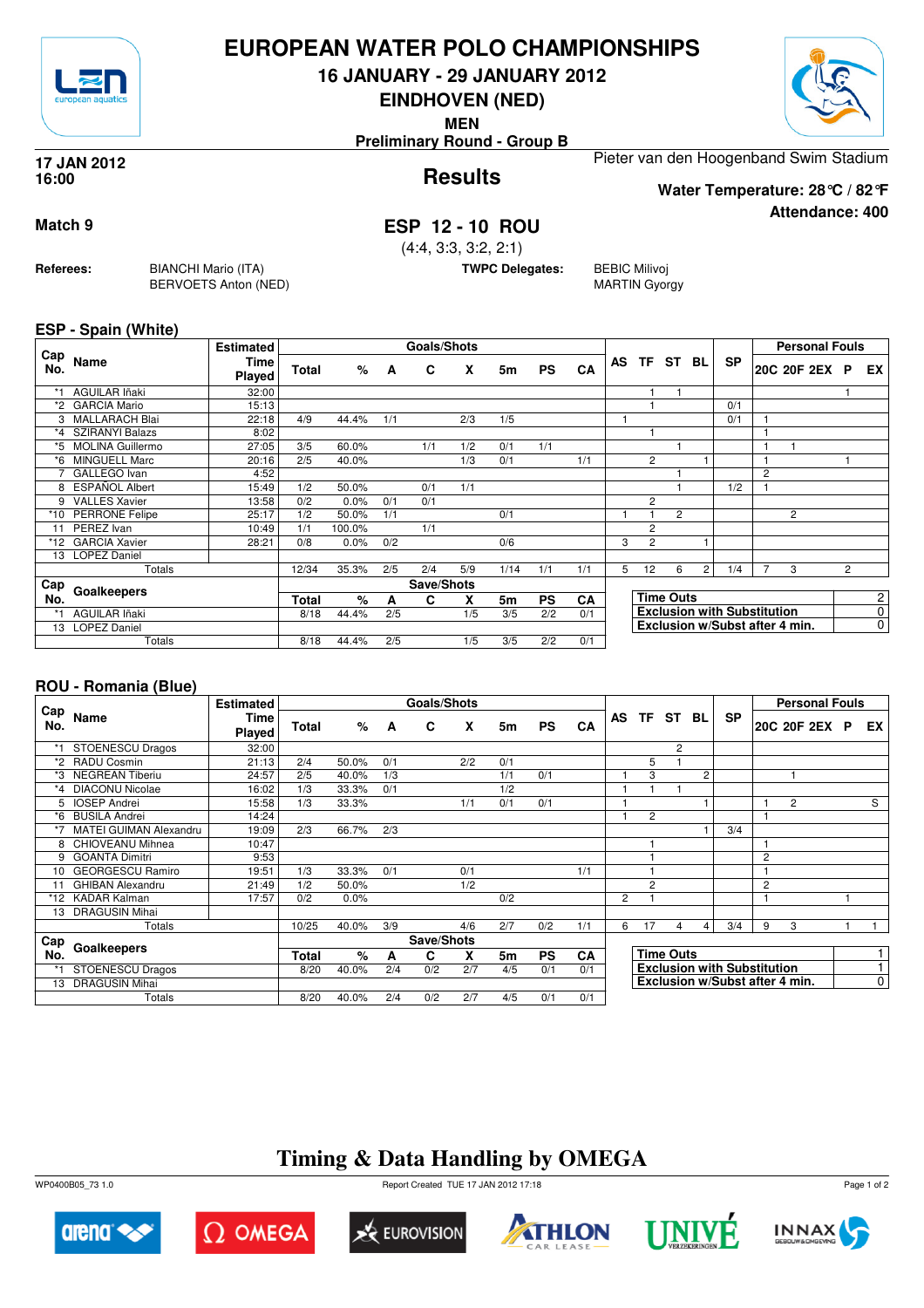

## **EUROPEAN WATER POLO CHAMPIONSHIPS**

**16 JANUARY - 29 JANUARY 2012**

**EINDHOVEN (NED)**

**MEN**

**Preliminary Round - Group B**

#### **Results 17 JAN 2012 16:00**

Pieter van den Hoogenband Swim Stadium

**Water Temperature: 28°C / 82°F**

## **Match 9 ESP 12 - 10 ROU**

(4:4, 3:3, 3:2, 2:1)

**TWPC Delegates:** BEBIC Milivoj

MARTIN Gyorgy

### **ESP - Spain (White)**

**Referees:** BIANCHI Mario (ITA)

BERVOETS Anton (NED)

|            |                         | <b>Estimated</b>      |       |         |     | Goals/Shots |     |      |           |     |   |                |                  |                |                                    |   | <b>Personal Fouls</b>          |   |                |
|------------|-------------------------|-----------------------|-------|---------|-----|-------------|-----|------|-----------|-----|---|----------------|------------------|----------------|------------------------------------|---|--------------------------------|---|----------------|
| Cap<br>No. | Name                    | Time<br><b>Played</b> | Total | %       | A   | C           | X   | 5m   | <b>PS</b> | CA  |   | AS TF          | <b>ST</b>        | BL             | <b>SP</b>                          |   | 20C 20F 2EX P                  |   | EX.            |
| *1         | <b>AGUILAR Iñaki</b>    | 32:00                 |       |         |     |             |     |      |           |     |   |                |                  |                |                                    |   |                                |   |                |
| *2         | <b>GARCIA Mario</b>     | 15:13                 |       |         |     |             |     |      |           |     |   |                |                  |                | 0/1                                |   |                                |   |                |
| 3          | <b>MALLARACH Blai</b>   | 22:18                 | 4/9   | 44.4%   | 1/1 |             | 2/3 | 1/5  |           |     |   |                |                  |                | 0/1                                |   |                                |   |                |
| $*_{4}$    | <b>SZIRANYI Balazs</b>  | 8:02                  |       |         |     |             |     |      |           |     |   |                |                  |                |                                    |   |                                |   |                |
| *5         | <b>MOLINA Guillermo</b> | 27:05                 | 3/5   | 60.0%   |     | 1/1         | 1/2 | 0/1  | 1/1       |     |   |                |                  |                |                                    |   |                                |   |                |
| *6         | <b>MINGUELL Marc</b>    | 20:16                 | 2/5   | 40.0%   |     |             | 1/3 | 0/1  |           | 1/1 |   | $\overline{2}$ |                  |                |                                    |   |                                |   |                |
|            | GALLEGO Ivan            | 4:52                  |       |         |     |             |     |      |           |     |   |                |                  |                |                                    | 2 |                                |   |                |
| 8          | ESPAÑOL Albert          | 15:49                 | 1/2   | 50.0%   |     | 0/1         | 1/1 |      |           |     |   |                |                  |                | 1/2                                |   |                                |   |                |
| 9          | <b>VALLES Xavier</b>    | 13:58                 | 0/2   | 0.0%    | 0/1 | 0/1         |     |      |           |     |   | 2              |                  |                |                                    |   |                                |   |                |
| *10        | <b>PERRONE Felipe</b>   | 25:17                 | 1/2   | 50.0%   | 1/1 |             |     | 0/1  |           |     |   |                | $\overline{2}$   |                |                                    |   | 2                              |   |                |
| 11         | PEREZ Ivan              | 10:49                 | 1/1   | 100.0%  |     | 1/1         |     |      |           |     |   | $\overline{2}$ |                  |                |                                    |   |                                |   |                |
|            | *12 GARCIA Xavier       | 28:21                 | 0/8   | $0.0\%$ | 0/2 |             |     | 0/6  |           |     | 3 | 2              |                  |                |                                    |   |                                |   |                |
| 13         | <b>LOPEZ Daniel</b>     |                       |       |         |     |             |     |      |           |     |   |                |                  |                |                                    |   |                                |   |                |
|            | Totals                  |                       | 12/34 | 35.3%   | 2/5 | 2/4         | 5/9 | 1/14 | 1/1       | 1/1 | 5 | 12             | 6                | $\overline{2}$ | 1/4                                | 7 | 3                              | 2 |                |
| Cap        | Goalkeepers             |                       |       |         |     | Save/Shots  |     |      |           |     |   |                |                  |                |                                    |   |                                |   |                |
| No.        |                         |                       | Total | %       | A   | C           | x   | 5m   | <b>PS</b> | CA  |   |                | <b>Time Outs</b> |                |                                    |   |                                |   | $\overline{c}$ |
| $*_{1}$    | <b>AGUILAR Iñaki</b>    |                       | 8/18  | 44.4%   | 2/5 |             | 1/5 | 3/5  | 2/2       | 0/1 |   |                |                  |                | <b>Exclusion with Substitution</b> |   |                                |   | 0              |
| 13         | <b>LOPEZ Daniel</b>     |                       |       |         |     |             |     |      |           |     |   |                |                  |                |                                    |   | Exclusion w/Subst after 4 min. |   | 0              |
|            | Totals                  |                       | 8/18  | 44.4%   | 2/5 |             | 1/5 | 3/5  | 2/2       | 0/1 |   |                |                  |                |                                    |   |                                |   |                |

### **ROU - Romania (Blue)**

|            |                               | <b>Estimated</b>      |              |       |     | <b>Goals/Shots</b> |     |     |           |     |                |                |                  |    |                                    |   | <b>Personal Fouls</b>          |    |
|------------|-------------------------------|-----------------------|--------------|-------|-----|--------------------|-----|-----|-----------|-----|----------------|----------------|------------------|----|------------------------------------|---|--------------------------------|----|
| Cap<br>No. | Name                          | <b>Time</b><br>Played | Total        | $\%$  | A   | C                  | X   | 5m  | <b>PS</b> | CA  |                | AS TF          | <b>ST</b>        | BL | <b>SP</b>                          |   | 20C 20F 2EX P                  | EX |
|            | <b>STOENESCU Dragos</b>       | 32:00                 |              |       |     |                    |     |     |           |     |                |                | $\overline{2}$   |    |                                    |   |                                |    |
| $*_{2}$    | <b>RADU Cosmin</b>            | 21:13                 | 2/4          | 50.0% | 0/1 |                    | 2/2 | 0/1 |           |     |                | 5              |                  |    |                                    |   |                                |    |
|            | <b>NEGREAN Tiberiu</b>        | 24:57                 | 2/5          | 40.0% | 1/3 |                    |     | 1/1 | 0/1       |     |                | 3              |                  | 2  |                                    |   |                                |    |
| *4         | <b>DIACONU Nicolae</b>        | 16:02                 | 1/3          | 33.3% | 0/1 |                    |     | 1/2 |           |     |                |                |                  |    |                                    |   |                                |    |
| 5          | <b>IOSEP Andrei</b>           | 15:58                 | 1/3          | 33.3% |     |                    | 1/1 | 0/1 | 0/1       |     |                |                |                  |    |                                    |   | 2                              | S  |
| *6         | <b>BUSILA Andrei</b>          | 14:24                 |              |       |     |                    |     |     |           |     |                | 2              |                  |    |                                    |   |                                |    |
|            | <b>MATEI GUIMAN Alexandru</b> | 19:09                 | 2/3          | 66.7% | 2/3 |                    |     |     |           |     |                |                |                  |    | 3/4                                |   |                                |    |
| 8          | <b>CHIOVEANU Mihnea</b>       | 10:47                 |              |       |     |                    |     |     |           |     |                |                |                  |    |                                    |   |                                |    |
| 9          | <b>GOANTA Dimitri</b>         | 9:53                  |              |       |     |                    |     |     |           |     |                |                |                  |    |                                    | 2 |                                |    |
| 10         | <b>GEORGESCU Ramiro</b>       | 19:51                 | 1/3          | 33.3% | 0/1 |                    | 0/1 |     |           | 1/1 |                |                |                  |    |                                    |   |                                |    |
| 11         | <b>GHIBAN Alexandru</b>       | 21:49                 | 1/2          | 50.0% |     |                    | 1/2 |     |           |     |                | $\overline{2}$ |                  |    |                                    | 2 |                                |    |
| *12        | <b>KADAR Kalman</b>           | 17:57                 | 0/2          | 0.0%  |     |                    |     | 0/2 |           |     | $\overline{2}$ |                |                  |    |                                    |   |                                |    |
| 13         | <b>DRAGUSIN Mihai</b>         |                       |              |       |     |                    |     |     |           |     |                |                |                  |    |                                    |   |                                |    |
|            | Totals                        |                       | 10/25        | 40.0% | 3/9 |                    | 4/6 | 2/7 | 0/2       | 1/1 | 6              | 17             | 4                | 4  | 3/4                                | 9 | 3                              |    |
| Cap        |                               |                       |              |       |     | Save/Shots         |     |     |           |     |                |                |                  |    |                                    |   |                                |    |
| No.        | Goalkeepers                   |                       | <b>Total</b> | %     | A   | C                  | x   | 5m  | PS        | CA  |                |                | <b>Time Outs</b> |    |                                    |   |                                |    |
| *1         | <b>STOENESCU Dragos</b>       |                       | 8/20         | 40.0% | 2/4 | 0/2                | 2/7 | 4/5 | 0/1       | 0/1 |                |                |                  |    | <b>Exclusion with Substitution</b> |   |                                |    |
| 13         | <b>DRAGUSIN Mihai</b>         |                       |              |       |     |                    |     |     |           |     |                |                |                  |    |                                    |   | Exclusion w/Subst after 4 min. | 0  |
|            | Totals                        |                       | 8/20         | 40.0% | 2/4 | 0/2                | 2/7 | 4/5 | 0/1       | 0/1 |                |                |                  |    |                                    |   |                                |    |

## **Timing & Data Handling by OMEGA**

WP0400B05\_73 1.0 Report Created TUE 17 JAN 2012 17:18













Page 1 of 2



**Attendance: 400**